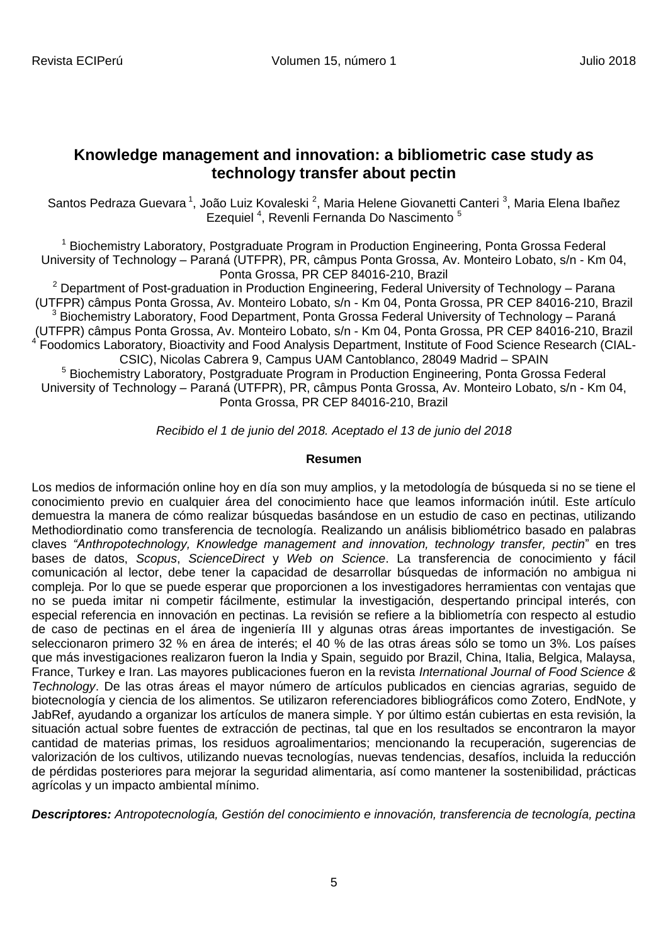# **Knowledge management and innovation: a bibliometric case study as technology transfer about pectin**

Santos Pedraza Guevara<sup>1</sup>, João Luiz Kovaleski<sup>2</sup>, Maria Helene Giovanetti Canteri<sup>3</sup>, Maria Elena Ibañez Ezequiel<sup>4</sup>, Revenli Fernanda Do Nascimento<sup>5</sup>

<sup>1</sup> Biochemistry Laboratory, Postgraduate Program in Production Engineering, Ponta Grossa Federal University of Technology – Paraná (UTFPR), PR, [câm](http://www.utfpr.edu.br/pontagrossa/estrutura-universitaria/assessorias/ascom/noticias/acervo/utfpr/utfpr-vai-ampliar-os-links-de-comunicacao-para-todos-os-campus)pus Ponta Grossa, Av. Monteiro Lobato, s/n - Km 04, Ponta Grossa, PR CEP 84016-210, Brazil

 $2$  Department of Post-graduation in Production Engineering, Federal University of Technology – Parana (UTFPR) [câm](http://www.utfpr.edu.br/pontagrossa/estrutura-universitaria/assessorias/ascom/noticias/acervo/utfpr/utfpr-vai-ampliar-os-links-de-comunicacao-para-todos-os-campus)pus Ponta Grossa, Av. Monteiro Lobato, s/n - Km 04, Ponta Grossa, PR CEP 84016-210, Brazil  $3$  Biochemistry Laboratory, Food Department, Ponta Grossa Federal University of Technology – Paraná (UTFPR) [câm](http://www.utfpr.edu.br/pontagrossa/estrutura-universitaria/assessorias/ascom/noticias/acervo/utfpr/utfpr-vai-ampliar-os-links-de-comunicacao-para-todos-os-campus)pus Ponta Grossa, Av. Monteiro Lobato, s/n - Km 04, Ponta Grossa, PR CEP 84016-210, Brazil <sup>4</sup> Foodomics Laboratory, Bioactivity and Food Analysis Department, Institute of Food Science Research (CIAL-CSIC), Nicolas Cabrera 9, Campus UAM Cantoblanco, 28049 Madrid – SPAIN <sup>5</sup> Biochemistry Laboratory, Postgraduate Program in Production Engineering, Ponta Grossa Federal University of Technology – Paraná (UTFPR), PR, [câm](http://www.utfpr.edu.br/pontagrossa/estrutura-universitaria/assessorias/ascom/noticias/acervo/utfpr/utfpr-vai-ampliar-os-links-de-comunicacao-para-todos-os-campus)pus Ponta Grossa, Av. Monteiro Lobato, s/n - Km 04, Ponta Grossa, PR CEP 84016-210, Brazil

*Recibido el 1 de junio del 2018. Aceptado el 13 de junio del 2018*

## **Resumen**

Los medios de información online hoy en día son muy amplios, y la metodología de búsqueda si no se tiene el conocimiento previo en cualquier área del conocimiento hace que leamos información inútil. Este artículo demuestra la manera de cómo realizar búsquedas basándose en un estudio de caso en pectinas, utilizando [Methodiordinatio](http://reginapagani2011.wixsite.com/methodiordinatio) como transferencia de tecnología. Realizando un análisis bibliométrico basado en palabras claves *"Anthropotechnology, Knowledge management and innovation, technology transfer, pectin*" en tres bases de datos, *Scopus*, *ScienceDirect* y *Web on Science*. La transferencia de conocimiento y fácil comunicación al lector, debe tener la capacidad de desarrollar búsquedas de información no ambigua ni compleja. Por lo que se puede esperar que proporcionen a los investigadores herramientas con ventajas que no se pueda imitar ni competir fácilmente, estimular la investigación, despertando principal interés, con especial referencia en innovación en pectinas. La revisión se refiere a la bibliometría con respecto al estudio de caso de pectinas en el área de ingeniería III y algunas otras áreas importantes de investigación. Se seleccionaron primero 32 % en área de interés; el 40 % de las otras áreas sólo se tomo un 3%. Los países que más investigaciones realizaron fueron la India y Spain, seguido por Brazil, China, Italia, Belgica, Malaysa, France, Turkey e Iran. Las mayores publicaciones fueron en la revista *International Journal of Food Science & Technology*. De las otras áreas el mayor número de artículos publicados en ciencias agrarias, seguido de biotecnología y ciencia de los alimentos. Se utilizaron referenciadores bibliográficos como Zotero, EndNote, y JabRef, ayudando a organizar los artículos de manera simple. Y por último están cubiertas en esta revisión, la situación actual sobre fuentes de extracción de pectinas, tal que en los resultados se encontraron la mayor cantidad de materias primas, los residuos agroalimentarios; mencionando la recuperación, sugerencias de valorización de los cultivos, utilizando nuevas tecnologías, nuevas tendencias, desafíos, incluida la reducción de pérdidas posteriores para mejorar la seguridad alimentaria, así como mantener la sostenibilidad, prácticas agrícolas y un impacto ambiental mínimo.

*Descriptores: Antropotecnología, Gestión del conocimiento e innovación, transferencia de tecnología, pectina*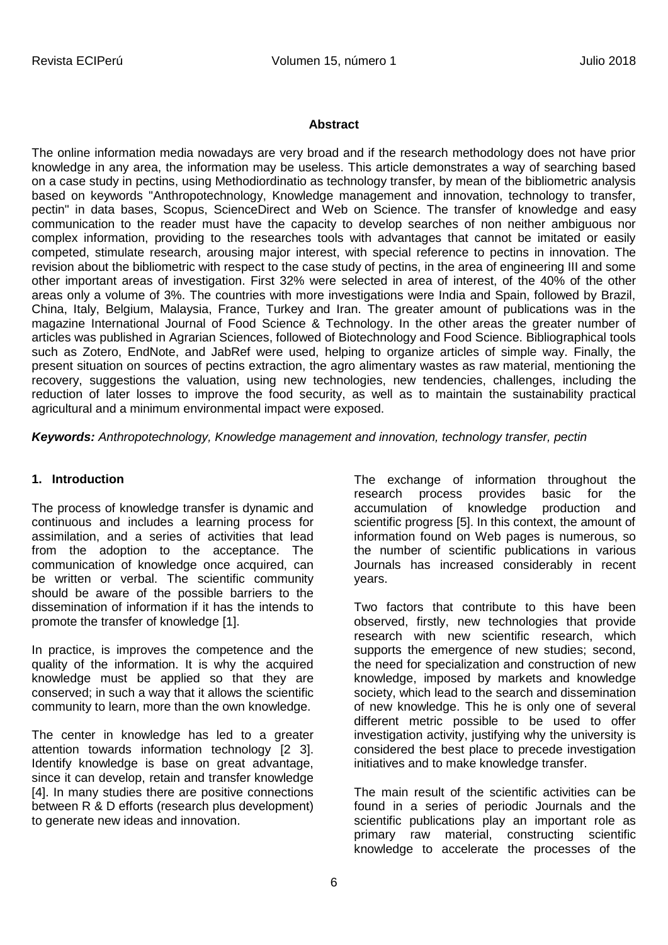#### **Abstract**

The online information media nowadays are very broad and if the research methodology does not have prior knowledge in any area, the information may be useless. This article demonstrates a way of searching based on a case study in pectins, using Methodiordinatio as technology transfer, by mean of the bibliometric analysis based on keywords "Anthropotechnology, Knowledge management and innovation, technology to transfer, pectin" in data bases, Scopus, ScienceDirect and Web on Science. The transfer of knowledge and easy communication to the reader must have the capacity to develop searches of non neither ambiguous nor complex information, providing to the researches tools with advantages that cannot be imitated or easily competed, stimulate research, arousing major interest, with special reference to pectins in innovation. The revision about the bibliometric with respect to the case study of pectins, in the area of engineering III and some other important areas of investigation. First 32% were selected in area of interest, of the 40% of the other areas only a volume of 3%. The countries with more investigations were India and Spain, followed by Brazil, China, Italy, Belgium, Malaysia, France, Turkey and Iran. The greater amount of publications was in the magazine International Journal of Food Science & Technology. In the other areas the greater number of articles was published in Agrarian Sciences, followed of Biotechnology and Food Science. Bibliographical tools such as Zotero, EndNote, and JabRef were used, helping to organize articles of simple way. Finally, the present situation on sources of pectins extraction, the agro alimentary wastes as raw material, mentioning the recovery, suggestions the valuation, using new technologies, new tendencies, challenges, including the reduction of later losses to improve the food security, as well as to maintain the sustainability practical agricultural and a minimum environmental impact were exposed.

*Keywords: Anthropotechnology, Knowledge management and innovation, technology transfer, pectin*

#### **1. Introduction**

The process of knowledge transfer is dynamic and continuous and includes a learning process for assimilation, and a series of activities that lead from the adoption to the acceptance. The communication of knowledge once acquired, can be written or verbal. The scientific community should be aware of the possible barriers to the dissemination of information if it has the intends to promote the transfer of knowledge [1].

In practice, is improves the competence and the quality of the information. It is why the acquired knowledge must be applied so that they are conserved; in such a way that it allows the scientific community to learn, more than the own knowledge.

The center in knowledge has led to a greater attention towards information technology [2 3]. Identify knowledge is base on great advantage, since it can develop, retain and transfer knowledge [4]. In many studies there are positive connections between R & D efforts (research plus development) to generate new ideas and innovation.

The exchange of information throughout the research process provides basic for the accumulation of knowledge production and scientific progress [5]. In this context, the amount of information found on Web pages is numerous, so the number of scientific publications in various Journals has increased considerably in recent years.

Two factors that contribute to this have been observed, firstly, new technologies that provide research with new scientific research, which supports the emergence of new studies; second, the need for specialization and construction of new knowledge, imposed by markets and knowledge society, which lead to the search and dissemination of new knowledge. This he is only one of several different metric possible to be used to offer investigation activity, justifying why the university is considered the best place to precede investigation initiatives and to make knowledge transfer.

The main result of the scientific activities can be found in a series of periodic Journals and the scientific publications play an important role as primary raw material, constructing scientific knowledge to accelerate the processes of the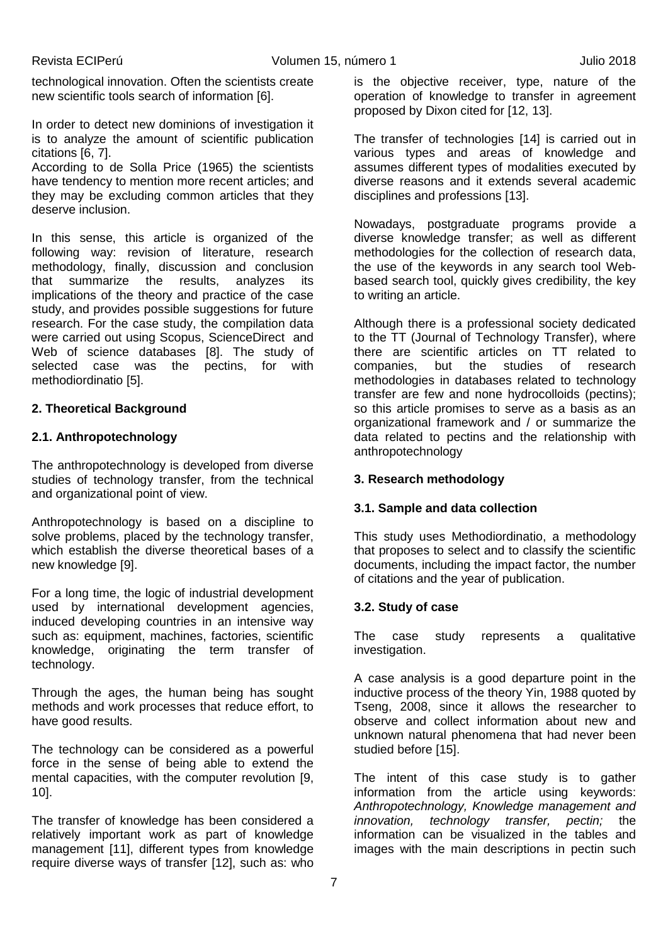technological innovation. Often the scientists create new scientific tools search of information [6].

In order to detect new dominions of investigation it is to analyze the amount of scientific publication citations [6, 7].

According to de Solla Price (1965) the scientists have tendency to mention more recent articles; and they may be excluding common articles that they deserve inclusion.

In this sense, this article is organized of the following way: revision of literature, research methodology, finally, discussion and conclusion that summarize the results, analyzes its implications of the theory and practice of the case study, and provides possible suggestions for future research. For the case study, the compilation data were carried out using Scopus, ScienceDirect and Web of science databases [8]. The study of selected case was the pectins, for with [methodiordinatio](http://reginapagani2011.wixsite.com/methodiordinatio) [5].

## **2. Theoretical Background**

## **2.1. Anthropotechnology**

The anthropotechnology is developed from diverse studies of technology transfer, from the technical and organizational point of view.

Anthropotechnology is based on a discipline to solve problems, placed by the technology transfer, which establish the diverse theoretical bases of a new knowledge [9].

For a long time, the logic of industrial development used by international development agencies, induced developing countries in an intensive way such as: equipment, machines, factories, scientific knowledge, originating the term transfer of technology.

Through the ages, the human being has sought methods and work processes that reduce effort, to have good results.

The technology can be considered as a powerful force in the sense of being able to extend the mental capacities, with the computer revolution [9, 10].

The transfer of knowledge has been considered a relatively important work as part of knowledge management [11], different types from knowledge require diverse ways of transfer [12], such as: who is the objective receiver, type, nature of the operation of knowledge to transfer in agreement proposed by Dixon cited for [12, 13].

The transfer of technologies [14] is carried out in various types and areas of knowledge and assumes different types of modalities executed by diverse reasons and it extends several academic disciplines and professions [13].

Nowadays, postgraduate programs provide a diverse knowledge transfer; as well as different methodologies for the collection of research data, the use of the keywords in any search tool Webbased search tool, quickly gives credibility, the key to writing an article.

Although there is a professional society dedicated to the TT (Journal of Technology Transfer), where there are scientific articles on TT related to companies, but the studies of research methodologies in databases related to technology transfer are few and none hydrocolloids (pectins); so this article promises to serve as a basis as an organizational framework and / or summarize the data related to pectins and the relationship with anthropotechnology

## **3. Research methodology**

## **3.1. Sample and data collection**

This study uses [Methodiordinatio,](http://reginapagani2011.wixsite.com/methodiordinatio) a methodology that proposes to select and to classify the scientific documents, including the impact factor, the number of citations and the year of publication.

## **3.2. Study of case**

The case study represents a qualitative investigation.

A case analysis is a good departure point in the inductive process of the theory Yin, 1988 quoted by Tseng, 2008, since it allows the researcher to observe and collect information about new and unknown natural phenomena that had never been studied before [15].

The intent of this case study is to gather information from the article using keywords: *Anthropotechnology, Knowledge management and innovation, technology transfer, pectin;* the information can be visualized in the tables and images with the main descriptions in pectin such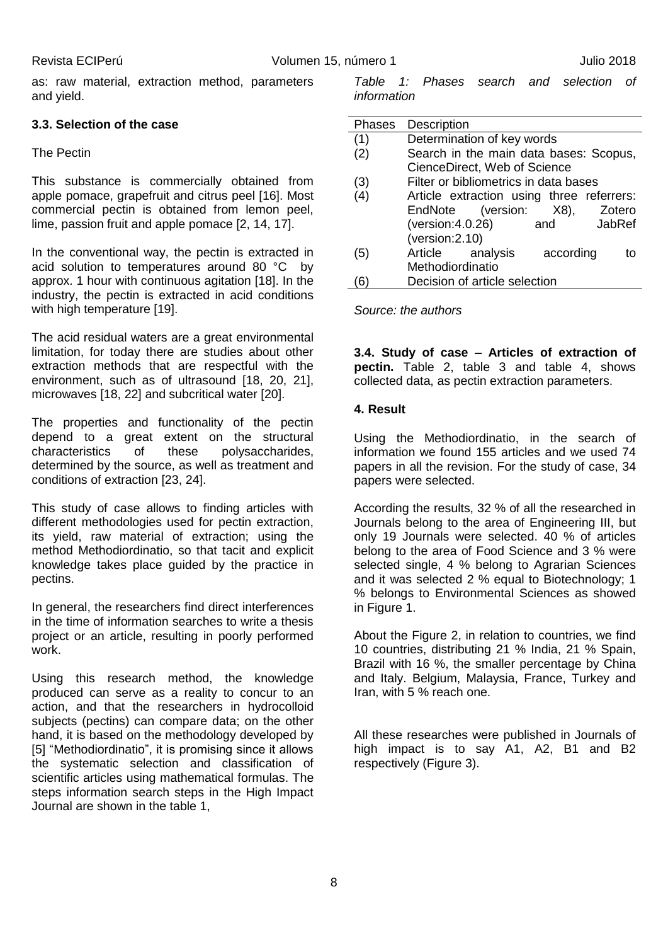as: raw material, extraction method, parameters and yield.

## **3.3. Selection of the case**

## The Pectin

This substance is commercially obtained from apple pomace, grapefruit and citrus peel [16]. Most commercial pectin is obtained from lemon peel, lime, passion fruit and apple pomace [2, 14, 17].

In the conventional way, the pectin is extracted in acid solution to temperatures around 80 °C by approx. 1 hour with continuous agitation [18]. In the industry, the pectin is extracted in acid conditions with high temperature [19].

The acid residual waters are a great environmental limitation, for today there are studies about other extraction methods that are respectful with the environment, such as of ultrasound [18, 20, 21], microwaves [18, 22] and subcritical water [20].

The properties and functionality of the pectin depend to a great extent on the structural characteristics of these polysaccharides, determined by the source, as well as treatment and conditions of extraction [23, 24].

This study of case allows to finding articles with different methodologies used for pectin extraction, its yield, raw material of extraction; using the method [Methodiordinatio,](http://reginapagani2011.wixsite.com/methodiordinatio) so that tacit and explicit knowledge takes place guided by the practice in pectins.

In general, the researchers find direct interferences in the time of information searches to write a thesis project or an article, resulting in poorly performed work.

Using this research method, the knowledge produced can serve as a reality to concur to an action, and that the researchers in hydrocolloid subjects (pectins) can compare data; on the other hand, it is based on the methodology developed by [5] ["Methodiordinatio"](http://reginapagani2011.wixsite.com/methodiordinatio), it is promising since it allows the systematic selection and classification of scientific articles using mathematical formulas. The steps information search steps in the High Impact Journal are shown in the table 1,

*Table 1: Phases search and selection of information*

| Phases | Description                               |
|--------|-------------------------------------------|
| (1)    | Determination of key words                |
| (2)    | Search in the main data bases: Scopus,    |
|        | CienceDirect, Web of Science              |
| (3)    | Filter or bibliometrics in data bases     |
| (4)    | Article extraction using three referrers: |
|        | EndNote (version:<br>X8),<br>Zotero       |
|        | (version:4.0.26)<br>JabRef<br>and         |
|        | (version:2.10)                            |
| (5)    | Article<br>analysis<br>according<br>tΩ    |
|        | Methodiordinatio                          |
|        | Decision of article selection             |

*Source: the authors*

**3.4. Study of case – Articles of extraction of pectin.** Table 2, table 3 and table 4, shows collected data, as pectin extraction parameters.

## **4. Result**

Using the [Methodiordinatio,](http://reginapagani2011.wixsite.com/methodiordinatio) in the search of information we found 155 articles and we used 74 papers in all the revision. For the study of case, 34 papers were selected.

According the results, 32 % of all the researched in Journals belong to the area of Engineering III, but only 19 Journals were selected. 40 % of articles belong to the area of Food Science and 3 % were selected single, 4 % belong to Agrarian Sciences and it was selected 2 % equal to Biotechnology; 1 % belongs to Environmental Sciences as showed in Figure 1.

About the Figure 2, in relation to countries, we find 10 countries, distributing 21 % India, 21 % Spain, Brazil with 16 %, the smaller percentage by China and Italy. Belgium, Malaysia, France, Turkey and Iran, with 5 % reach one.

All these researches were published in Journals of high impact is to say A1, A2, B1 and B2 respectively (Figure 3).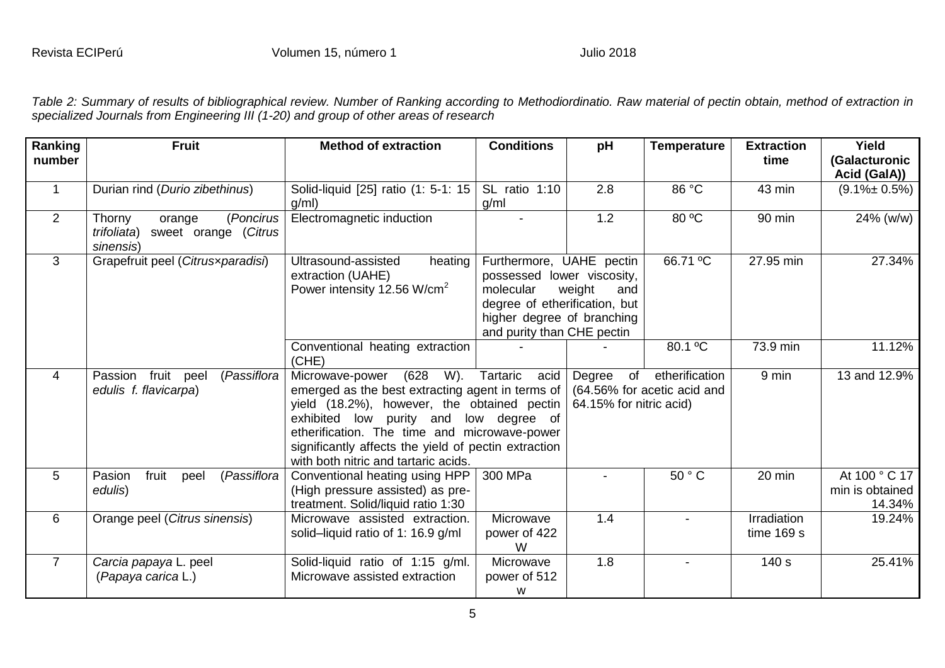*Table 2: Summary of results of bibliographical review. Number of Ranking according to [Methodiordinatio.](http://reginapagani2011.wixsite.com/methodiordinatio) Raw material of pectin obtain, method of extraction in specialized Journals from Engineering III (1-20) and group of other areas of research*

| Ranking<br>number | <b>Fruit</b>                                                                      | <b>Method of extraction</b>                                                                                                                                                                                                                                                                                                     | <b>Conditions</b>                                                                                                                                                                             | pH                                            | <b>Temperature</b> | <b>Extraction</b><br>time   | Yield<br>(Galacturonic<br>Acid (GaIA))     |
|-------------------|-----------------------------------------------------------------------------------|---------------------------------------------------------------------------------------------------------------------------------------------------------------------------------------------------------------------------------------------------------------------------------------------------------------------------------|-----------------------------------------------------------------------------------------------------------------------------------------------------------------------------------------------|-----------------------------------------------|--------------------|-----------------------------|--------------------------------------------|
| $\mathbf{1}$      | Durian rind (Durio zibethinus)                                                    | Solid-liquid [25] ratio (1: 5-1: 15<br>q/ml)                                                                                                                                                                                                                                                                                    | SL ratio 1:10<br>g/ml                                                                                                                                                                         | 2.8                                           | 86 °C              | 43 min                      | $(9.1\% \pm 0.5\%)$                        |
| 2                 | (Poncirus<br>Thorny<br>orange<br>sweet orange (Citrus<br>trifoliata)<br>sinensis) | Electromagnetic induction                                                                                                                                                                                                                                                                                                       |                                                                                                                                                                                               | 1.2                                           | 80 °C              | 90 min                      | 24% (w/w)                                  |
| 3                 | Grapefruit peel (Citrusxparadisi)                                                 | Ultrasound-assisted<br>heating<br>extraction (UAHE)<br>Power intensity 12.56 W/cm <sup>2</sup>                                                                                                                                                                                                                                  | 66.71 °C<br>Furthermore, UAHE pectin<br>possessed lower viscosity,<br>molecular<br>weight<br>and<br>degree of etherification, but<br>higher degree of branching<br>and purity than CHE pectin |                                               |                    | 27.95 min                   | 27.34%                                     |
|                   |                                                                                   | Conventional heating extraction<br>(CHE)                                                                                                                                                                                                                                                                                        |                                                                                                                                                                                               |                                               | $80.1 \text{°C}$   | 73.9 min                    | 11.12%                                     |
| 4                 | fruit peel<br>(Passiflora<br>Passion<br>edulis f. flavicarpa)                     | (628)<br>W).<br>Microwave-power<br>emerged as the best extracting agent in terms of<br>yield (18.2%), however, the obtained pectin<br>exhibited low purity and<br>low degree of<br>etherification. The time and microwave-power<br>significantly affects the yield of pectin extraction<br>with both nitric and tartaric acids. | of<br>Degree<br>64.15% for nitric acid)                                                                                                                                                       | etherification<br>(64.56% for acetic acid and | 9 min              | 13 and 12.9%                |                                            |
| 5                 | fruit<br>(Passiflora<br>Pasion<br>peel<br>edulis)                                 | Conventional heating using HPP<br>(High pressure assisted) as pre-<br>treatment. Solid/liquid ratio 1:30                                                                                                                                                                                                                        | 300 MPa                                                                                                                                                                                       |                                               | 50 ° C             | 20 min                      | At 100 ° C 17<br>min is obtained<br>14.34% |
| 6                 | Orange peel (Citrus sinensis)                                                     | Microwave assisted extraction.<br>solid-liquid ratio of 1: 16.9 g/ml                                                                                                                                                                                                                                                            | Microwave<br>power of 422<br>W                                                                                                                                                                | 1.4                                           |                    | Irradiation<br>time $169 s$ | 19.24%                                     |
| $\overline{7}$    | Carcia papaya L. peel<br>(Papaya carica L.)                                       | Solid-liquid ratio of 1:15 g/ml.<br>Microwave assisted extraction                                                                                                                                                                                                                                                               | Microwave<br>power of 512<br>W                                                                                                                                                                | 1.8                                           |                    | 140 s                       | 25.41%                                     |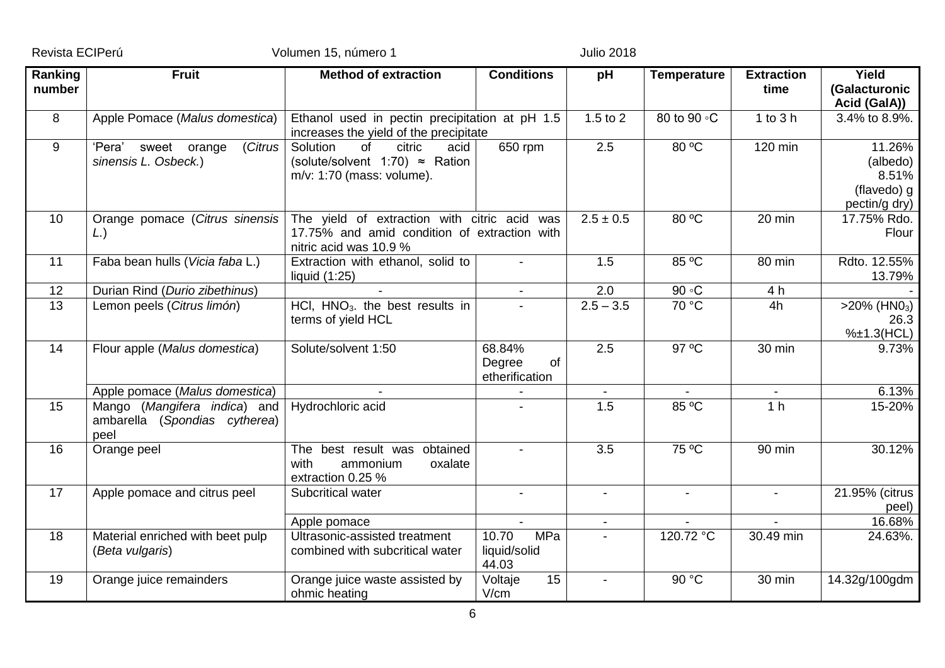Revista ECIPerú **Calculation de Santonio Volumen 15, número 1** de 2018 de 2018

| Ranking<br>number | <b>Fruit</b><br><b>Method of extraction</b>                                         |                                                                                                            | <b>Conditions</b>                            | pH                       | <b>Temperature</b> | <b>Extraction</b><br>time | Yield<br>(Galacturonic<br>Acid (GalA))                      |
|-------------------|-------------------------------------------------------------------------------------|------------------------------------------------------------------------------------------------------------|----------------------------------------------|--------------------------|--------------------|---------------------------|-------------------------------------------------------------|
| 8                 | Apple Pomace (Malus domestica)                                                      | Ethanol used in pectin precipitation at pH 1.5<br>increases the yield of the precipitate                   |                                              | 1.5 to 2                 | 80 to 90 °C        | 1 to 3 h                  | 3.4% to 8.9%.                                               |
| 9                 | 'Pera'<br>sweet orange<br>(Citrus<br>sinensis L. Osbeck.)                           | Solution<br>of<br>citric<br>acid<br>(solute/solvent 1:70) $\approx$ Ration<br>$m/v$ : 1:70 (mass: volume). | 650 rpm                                      | $\overline{2.5}$         | 80 °C              | 120 min                   | 11.26%<br>(albedo)<br>8.51%<br>(flavedo) g<br>pectin/g dry) |
| 10                | Orange pomace (Citrus sinensis The yield of extraction with citric acid was<br>(L.) | 17.75% and amid condition of extraction with<br>nitric acid was 10.9 %                                     |                                              | $2.5 \pm 0.5$            | 80 °C              | 20 min                    | 17.75% Rdo.<br>Flour                                        |
| 11                | Faba bean hulls (Vicia faba L.)                                                     | Extraction with ethanol, solid to<br>liquid $(1:25)$                                                       |                                              | 1.5                      | 85 °C              | 80 min                    | Rdto. 12.55%<br>13.79%                                      |
| 12                | Durian Rind (Durio zibethinus)                                                      |                                                                                                            |                                              | $\overline{2.0}$         | 90 °C              | 4 h                       |                                                             |
| 13                | Lemon peels (Citrus limón)                                                          | $\overline{HCI}$ , $\overline{HNO_3}$ , the best results in<br>terms of yield HCL                          |                                              | $2.5 - 3.5$              | 70 °C              | 4h                        | $>20\%$ (HNO <sub>3</sub> )<br>26.3<br>%±1.3(HCL)           |
| 14                | Flour apple (Malus domestica)                                                       | Solute/solvent 1:50                                                                                        | 68.84%<br>Degree<br>of<br>etherification     | 2.5                      | $97^{\circ}$ C     | 30 min                    | $9.73\%$                                                    |
|                   | Apple pomace (Malus domestica)                                                      |                                                                                                            |                                              |                          |                    |                           | 6.13%                                                       |
| 15                | Mango (Mangifera indica) and<br>ambarella (Spondias cytherea)<br>peel               | Hydrochloric acid                                                                                          |                                              | 1.5                      | 85 °C              | 1 <sub>h</sub>            | 15-20%                                                      |
| 16                | Orange peel                                                                         | The best result was obtained<br>with<br>oxalate<br>ammonium<br>extraction 0.25 %                           |                                              | $\overline{3.5}$         | 75 °C              | 90 min                    | 30.12%                                                      |
| 17                | Apple pomace and citrus peel                                                        | Subcritical water                                                                                          |                                              | $\overline{\phantom{a}}$ | $\blacksquare$     | $\sim$                    | 21.95% (citrus<br>peel)                                     |
|                   |                                                                                     | Apple pomace                                                                                               | $\overline{a}$                               | $\blacksquare$           |                    |                           | 16.68%                                                      |
| 18                | Material enriched with beet pulp<br>(Beta vulgaris)                                 | Ultrasonic-assisted treatment<br>combined with subcritical water                                           | 10.70<br><b>MPa</b><br>liquid/solid<br>44.03 |                          | 120.72 °C          | 30.49 min                 | 24.63%.                                                     |
| 19                | Orange juice remainders                                                             | Orange juice waste assisted by<br>ohmic heating                                                            | Voltaje<br>15<br>V/cm                        |                          | 90 °C              | 30 min                    | 14.32g/100gdm                                               |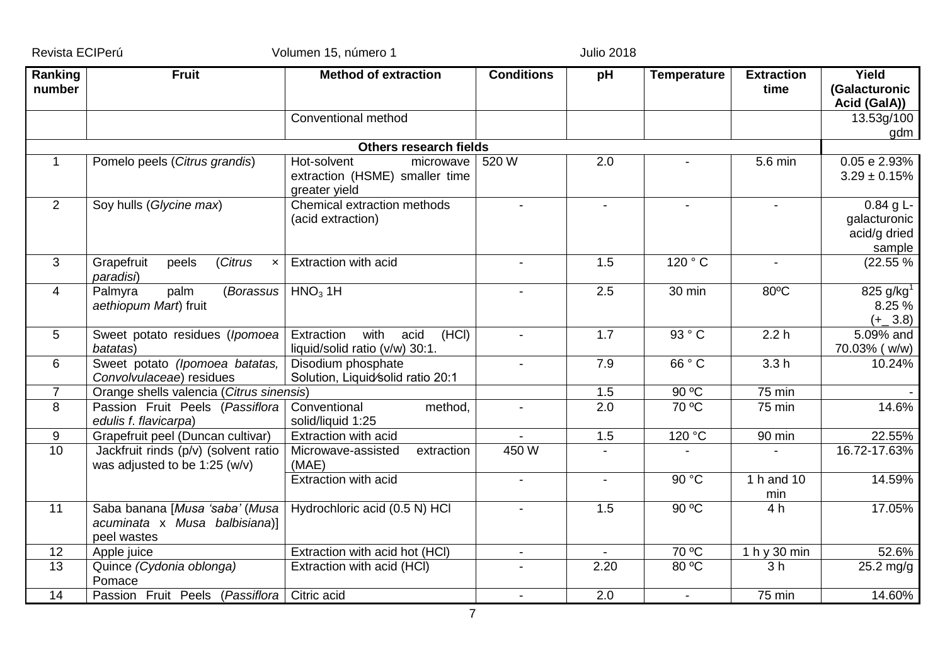| Ranking        | <b>Fruit</b>                                                                     | <b>Method of extraction</b>                                                 | <b>Conditions</b>        | pH             | <b>Temperature</b> | <b>Extraction</b> | Yield                                                 |
|----------------|----------------------------------------------------------------------------------|-----------------------------------------------------------------------------|--------------------------|----------------|--------------------|-------------------|-------------------------------------------------------|
| number         |                                                                                  |                                                                             |                          |                |                    | time              | (Galacturonic                                         |
|                |                                                                                  |                                                                             |                          |                |                    |                   | Acid (GalA))                                          |
|                |                                                                                  | Conventional method                                                         |                          |                |                    |                   | 13.53g/100                                            |
|                |                                                                                  |                                                                             |                          |                |                    |                   | gdm                                                   |
|                |                                                                                  | <b>Others research fields</b>                                               |                          |                |                    |                   |                                                       |
| $\mathbf{1}$   | Pomelo peels (Citrus grandis)                                                    | Hot-solvent<br>microwave<br>extraction (HSME) smaller time<br>greater yield | 520W                     | 2.0            |                    | 5.6 min           | 0.05 e 2.93%<br>$3.29 \pm 0.15\%$                     |
| 2              | Soy hulls (Glycine max)                                                          | Chemical extraction methods<br>(acid extraction)                            |                          | $\sim$         | $\sim$             |                   | $0.84$ g L-<br>galacturonic<br>acid/g dried<br>sample |
| 3              | (Citrus<br>Grapefruit<br>peels<br>$\boldsymbol{\mathsf{x}}$<br>paradisi)         | <b>Extraction with acid</b>                                                 | $\blacksquare$           | 1.5            | 120 °C             |                   | (22.55%                                               |
| $\overline{4}$ | (Borassus<br>Palmyra<br>palm<br>aethiopum Mart) fruit                            | HNO <sub>3</sub> 1H                                                         | $\blacksquare$           | 2.5            | 30 min             | 80°C              | 825 g/kg <sup>1</sup><br>8.25 %<br>$(+ 3.8)$          |
| 5              | Sweet potato residues (Ipomoea)<br>batatas)                                      | Extraction<br>with<br>(HCI)<br>acid<br>liquid/solid ratio (v/w) 30:1.       | $\blacksquare$           | 1.7            | 93 ° C             | 2.2h              | 5.09% and<br>70.03% (w/w)                             |
| 6              | Sweet potato (Ipomoea batatas,<br>Convolvulaceae) residues                       | Disodium phosphate<br>Solution, Liquid/solid ratio 20:1                     | $\overline{\phantom{a}}$ | 7.9            | 66 ° C             | 3.3h              | 10.24%                                                |
| $\overline{7}$ | $90^{\circ}$ C<br>Orange shells valencia (Citrus sinensis)<br>75 min<br>1.5      |                                                                             |                          |                |                    |                   |                                                       |
| 8              | Passion Fruit Peels (Passiflora<br>edulis f. flavicarpa)                         | Conventional<br>method,<br>solid/liquid 1:25                                | $\blacksquare$           | 2.0            | 70 °C              | 75 min            | 14.6%                                                 |
| 9              | Grapefruit peel (Duncan cultivar)                                                | <b>Extraction with acid</b>                                                 |                          | 1.5            | 120 °C             | 90 min            | 22.55%                                                |
| 10             | Jackfruit rinds (p/v) (solvent ratio<br>was adjusted to be 1:25 ( $w/v$ )        | Microwave-assisted<br>extraction<br>(MAE)                                   | 450 W                    |                |                    |                   | 16.72-17.63%                                          |
|                |                                                                                  | <b>Extraction with acid</b>                                                 | $\blacksquare$           | $\blacksquare$ | 90 °C              | 1 h and 10<br>min | 14.59%                                                |
| 11             | Saba banana [Musa 'saba' (Musa  <br>acuminata x Musa balbisiana)]<br>peel wastes | Hydrochloric acid (0.5 N) HCl                                               | $\blacksquare$           | 1.5            | 90 °C              | 4 h               | 17.05%                                                |
| 12             | Apple juice                                                                      | Extraction with acid hot (HCI)                                              | $\overline{\phantom{a}}$ | $\sim$         | $70^{\circ}$ C     | 1 h y 30 min      | 52.6%                                                 |
| 13             | Quince (Cydonia oblonga)<br>Pomace                                               | Extraction with acid (HCI)                                                  |                          | 2.20           | 80 °C              | 3 <sub>h</sub>    | $25.2$ mg/g                                           |
| 14             | Passion Fruit Peels (Passiflora   Citric acid                                    |                                                                             | $\mathbf{r}$             | 2.0            | $\mathbf{r}$       | $75$ min          | 14.60%                                                |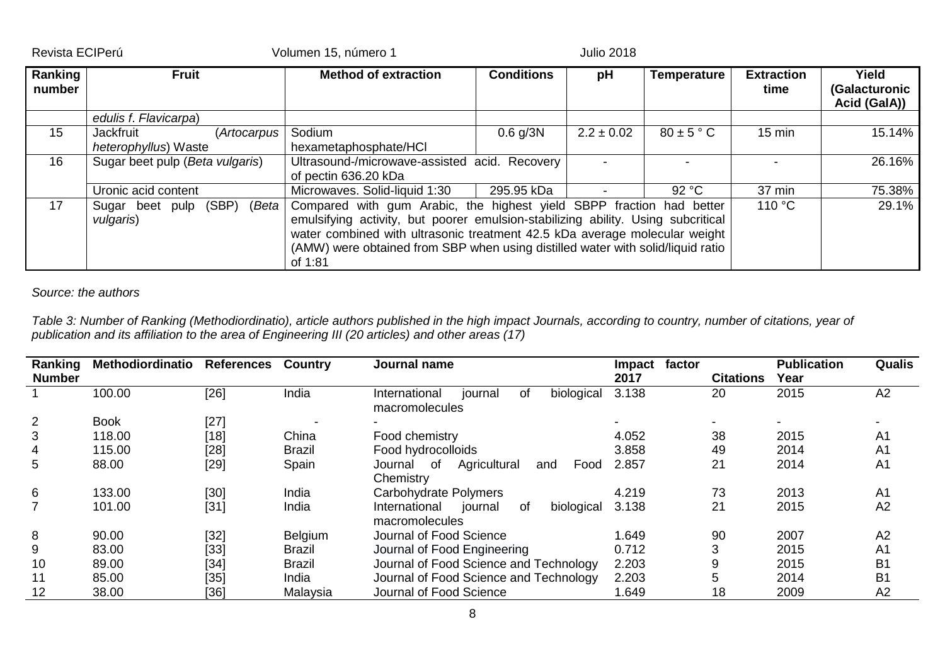| Revista ECIPerú |
|-----------------|
|-----------------|

Volumen 15, número 1 Julio 2018

| Ranking<br>number | <b>Fruit</b>                                     | <b>Method of extraction</b>                                                                                                                                                                                                                                                                                                          | <b>Conditions</b><br>pH<br><b>Temperature</b> |                |                |                  | Yield<br>(Galacturonic<br>Acid (GalA)) |
|-------------------|--------------------------------------------------|--------------------------------------------------------------------------------------------------------------------------------------------------------------------------------------------------------------------------------------------------------------------------------------------------------------------------------------|-----------------------------------------------|----------------|----------------|------------------|----------------------------------------|
|                   | edulis f. Flavicarpa)                            |                                                                                                                                                                                                                                                                                                                                      |                                               |                |                |                  |                                        |
| 15                | Jackfruit<br>(Artocarpus<br>heterophyllus) Waste | Sodium<br>hexametaphosphate/HCI                                                                                                                                                                                                                                                                                                      | $0.6$ g/3N                                    | $2.2 \pm 0.02$ | $80 \pm 5$ ° C | $15 \text{ min}$ | 15.14%                                 |
| 16                | Sugar beet pulp (Beta vulgaris)                  | Ultrasound-/microwave-assisted acid. Recovery<br>of pectin 636.20 kDa                                                                                                                                                                                                                                                                |                                               |                |                |                  | 26.16%                                 |
|                   | Uronic acid content                              | Microwaves. Solid-liquid 1:30                                                                                                                                                                                                                                                                                                        | 37 min                                        | 75.38%         |                |                  |                                        |
| 17                | (SBP)<br>(Beta  <br>Sugar beet pulp<br>vulgaris) | Compared with gum Arabic, the highest yield SBPP fraction had better<br>emulsifying activity, but poorer emulsion-stabilizing ability. Using subcritical<br>water combined with ultrasonic treatment 42.5 kDa average molecular weight<br>(AMW) were obtained from SBP when using distilled water with solid/liquid ratio<br>of 1:81 | 29.1%                                         |                |                |                  |                                        |

## *Source: the authors*

*Table 3: Number of Ranking [\(Methodiordinatio\)](http://reginapagani2011.wixsite.com/methodiordinatio), article authors published in the high impact Journals, according to country, number of citations, year of publication and its affiliation to the area of Engineering III (20 articles) and other areas (17)* 

| Ranking<br><b>Number</b> | Methodiordinatio | <b>References</b> | <b>Country</b> | Journal name                                                   | factor<br><b>Impact</b><br>2017 | <b>Citations</b> | <b>Publication</b><br>Year | Qualis         |
|--------------------------|------------------|-------------------|----------------|----------------------------------------------------------------|---------------------------------|------------------|----------------------------|----------------|
|                          | 100.00           | [26]              | India          | biological<br>International<br>journal<br>of<br>macromolecules | 3.138                           | 20               | 2015                       | A2             |
|                          | <b>Book</b>      | $[27]$            |                | $\blacksquare$                                                 |                                 |                  |                            |                |
| 3                        | 118.00           | $[18]$            | China          | Food chemistry                                                 | 4.052                           | 38               | 2015                       | A <sub>1</sub> |
|                          | 115.00           | $[28]$            | <b>Brazil</b>  | Food hydrocolloids                                             | 3.858                           | 49               | 2014                       | A <sub>1</sub> |
| 5                        | 88.00            | $[29]$            | Spain          | Agricultural<br>Food<br>of<br>Journal<br>and<br>Chemistry      | 2.857                           | 21               | 2014                       | A <sub>1</sub> |
| 6                        | 133.00           | [30]              | India          | Carbohydrate Polymers                                          | 4.219                           | 73               | 2013                       | A <sub>1</sub> |
|                          | 101.00           | $[31]$            | India          | journal<br>International<br>biological<br>0f<br>macromolecules | 3.138                           | 21               | 2015                       | A2             |
| 8                        | 90.00            | $[32]$            | Belgium        | Journal of Food Science                                        | 1.649                           | 90               | 2007                       | A2             |
| 9                        | 83.00            | $[33]$            | <b>Brazil</b>  | Journal of Food Engineering                                    | 0.712                           | 3                | 2015                       | A <sub>1</sub> |
| 10                       | 89.00            | $[34]$            | <b>Brazil</b>  | Journal of Food Science and Technology                         | 2.203                           | 9                | 2015                       | B <sub>1</sub> |
| 11                       | 85.00            | [35]              | India          | Journal of Food Science and Technology                         | 2.203                           | 5                | 2014                       | B <sub>1</sub> |
| 12                       | 38.00            | [36]              | Malaysia       | Journal of Food Science                                        | 1.649                           | 18               | 2009                       | A2             |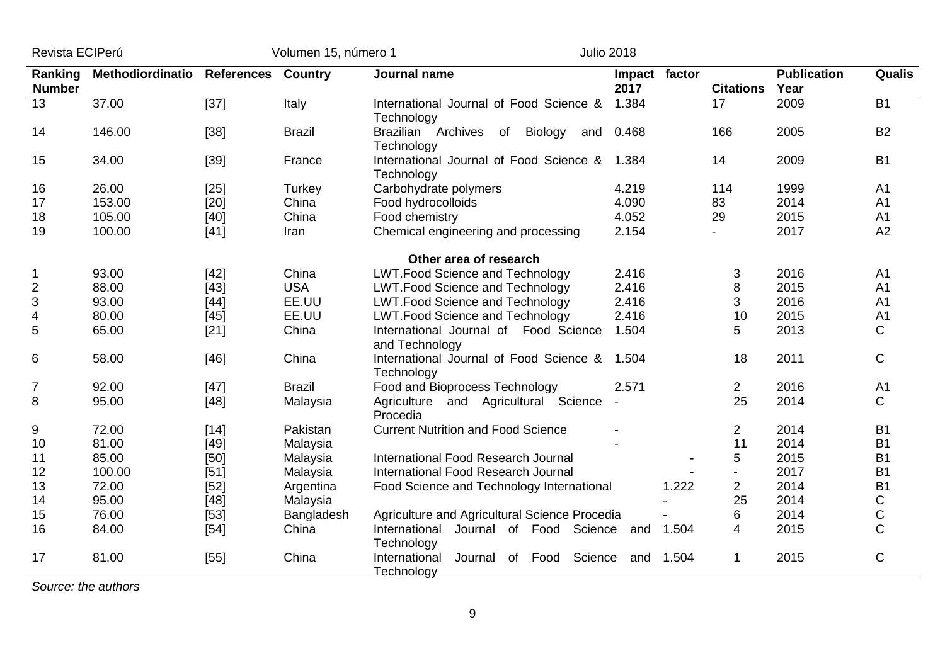| Revista ECIPerú |
|-----------------|
|-----------------|

Revista ECIPerú Volumen 15, número 1 Julio 2018

| Ranking<br><b>Number</b> | Methodiordinatio | <b>References Country</b> |               | Journal name                                                 | Impact factor<br>2017 |       | <b>Citations</b> | <b>Publication</b><br>Year | Qualis         |
|--------------------------|------------------|---------------------------|---------------|--------------------------------------------------------------|-----------------------|-------|------------------|----------------------------|----------------|
| 13                       | 37.00            | $[37]$                    | Italy         | International Journal of Food Science &<br>Technology        | 1.384                 |       | 17               | 2009                       | <b>B1</b>      |
| 14                       | 146.00           | $[38]$                    | <b>Brazil</b> | Brazilian Archives<br>Biology<br>of<br>Technology            | and 0.468             |       | 166              | 2005                       | <b>B2</b>      |
| 15                       | 34.00            | $[39]$                    | France        | International Journal of Food Science & 1.384<br>Technology  |                       |       | 14               | 2009                       | <b>B1</b>      |
| 16                       | 26.00            | $[25]$                    | Turkey        | Carbohydrate polymers                                        | 4.219                 |       | 114              | 1999                       | A <sub>1</sub> |
| 17                       | 153.00           | $[20]$                    | China         | Food hydrocolloids                                           | 4.090                 |       | 83               | 2014                       | A <sub>1</sub> |
| 18                       | 105.00           | $[40]$                    | China         | Food chemistry                                               | 4.052                 |       | 29               | 2015                       | A <sub>1</sub> |
| 19                       | 100.00           | $[41]$                    | Iran          | Chemical engineering and processing                          | 2.154                 |       |                  | 2017                       | A2             |
|                          |                  |                           |               | Other area of research                                       |                       |       |                  |                            |                |
|                          | 93.00            | $[42]$                    | China         | <b>LWT.Food Science and Technology</b>                       | 2.416                 |       | 3                | 2016                       | A <sub>1</sub> |
| $\overline{2}$           | 88.00            | $[43]$                    | <b>USA</b>    | <b>LWT.Food Science and Technology</b>                       | 2.416                 |       | 8                | 2015                       | A <sub>1</sub> |
| 3                        | 93.00            | $[44]$                    | EE.UU         | <b>LWT.Food Science and Technology</b>                       | 2.416                 |       | 3                | 2016                       | A <sub>1</sub> |
| 4                        | 80.00            | $[45]$                    | EE.UU         | <b>LWT.Food Science and Technology</b>                       | 2.416                 |       | 10               | 2015                       | A <sub>1</sub> |
| 5                        | 65.00            | $[21]$                    | China         | International Journal of Food Science<br>and Technology      | 1.504                 |       | 5                | 2013                       | C              |
| 6                        | 58.00            | $[46]$                    | China         | International Journal of Food Science &<br>Technology        | 1.504                 |       | 18               | 2011                       | C              |
| $\overline{7}$           | 92.00            | $[47]$                    | <b>Brazil</b> | Food and Bioprocess Technology                               | 2.571                 |       | $\overline{2}$   | 2016                       | A <sub>1</sub> |
| 8                        | 95.00            | $[48]$                    | Malaysia      | Agriculture and Agricultural Science<br>Procedia             |                       |       | 25               | 2014                       | С              |
| 9                        | 72.00            | $[14]$                    | Pakistan      | <b>Current Nutrition and Food Science</b>                    |                       |       | $\overline{2}$   | 2014                       | <b>B1</b>      |
| 10                       | 81.00            | $[49]$                    | Malaysia      |                                                              |                       |       | 11               | 2014                       | B <sub>1</sub> |
| 11                       | 85.00            | [50]                      | Malaysia      | International Food Research Journal                          |                       |       | 5                | 2015                       | B <sub>1</sub> |
| 12                       | 100.00           | $[51]$                    | Malaysia      | International Food Research Journal                          |                       |       | $\blacksquare$   | 2017                       | <b>B1</b>      |
| 13                       | 72.00            | $[52]$                    | Argentina     | Food Science and Technology International                    |                       | 1.222 | $\overline{2}$   | 2014                       | <b>B1</b>      |
| 14                       | 95.00            | [48]                      | Malaysia      |                                                              |                       |       | 25               | 2014                       | С              |
| 15                       | 76.00            | $[53]$                    | Bangladesh    | Agriculture and Agricultural Science Procedia                |                       |       | 6                | 2014                       | С              |
| 16                       | 84.00            | $[54]$                    | China         | Journal of Food Science and<br>International<br>Technology   |                       | 1.504 | 4                | 2015                       | $\mathsf C$    |
| 17                       | 81.00            | $[55]$                    | China         | Science<br>International<br>Journal<br>of Food<br>Technology | and 1.504             |       |                  | 2015                       | $\mathsf C$    |

*Source: the authors*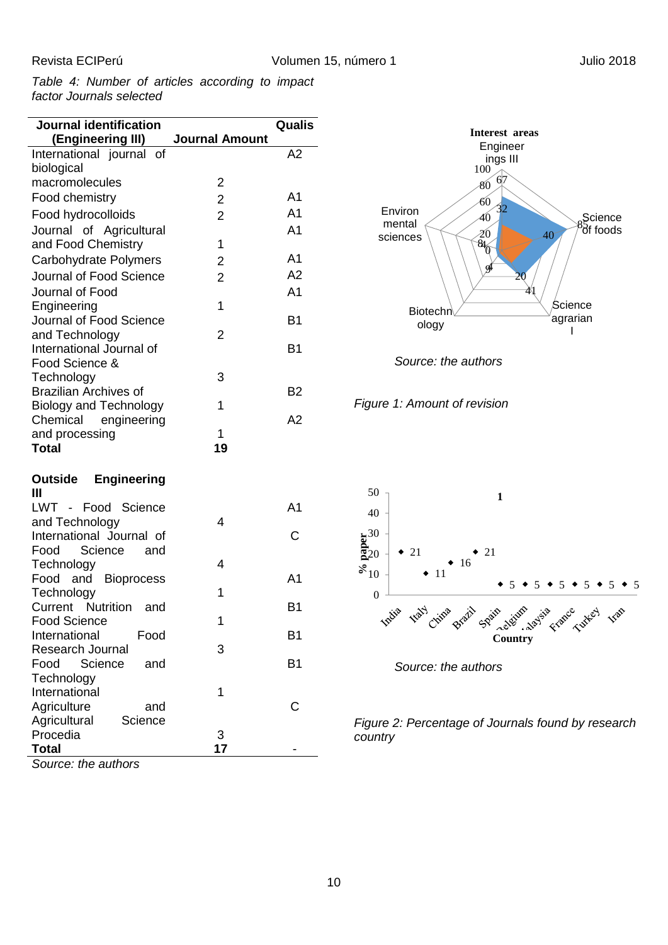*Table 4: Number of articles according to impact factor Journals selected*

| Journal identification                       |                         | Qualis         |
|----------------------------------------------|-------------------------|----------------|
| (Engineering III)                            | <b>Journal Amount</b>   |                |
| International journal of                     |                         | A2             |
| biological                                   |                         |                |
| macromolecules                               | $\overline{2}$          |                |
| Food chemistry                               | $\overline{2}$          | A1             |
| Food hydrocolloids                           | $\overline{2}$          | A <sub>1</sub> |
| Journal of Agricultural                      |                         | A1             |
| and Food Chemistry                           | 1                       |                |
| Carbohydrate Polymers                        | $\overline{\mathbf{c}}$ | A1             |
| Journal of Food Science                      | $\overline{2}$          | A2             |
| Journal of Food                              |                         | A <sub>1</sub> |
| Engineering                                  | 1                       |                |
| Journal of Food Science                      |                         | B1             |
| and Technology                               | 2                       |                |
| International Journal of                     |                         | B <sub>1</sub> |
| Food Science &                               |                         |                |
| Technology                                   | 3                       |                |
| <b>Brazilian Archives of</b>                 |                         | B <sub>2</sub> |
| <b>Biology and Technology</b>                | 1                       | A <sub>2</sub> |
| engineering<br>Chemical<br>and processing    | 1                       |                |
| <b>Total</b>                                 | 19                      |                |
|                                              |                         |                |
| <b>Outside Engineering</b>                   |                         |                |
| Ш                                            |                         |                |
| LWT - Food Science                           |                         | A <sub>1</sub> |
| and Technology                               | 4                       |                |
| International Journal of                     |                         | С              |
| Food<br>Science<br>and                       |                         |                |
| Technology                                   | 4                       |                |
| Food and<br><b>Bioprocess</b>                |                         | A1             |
| Technology                                   | 1                       |                |
| <b>Current Nutrition</b><br>and              | 1                       | B1             |
| <b>Food Science</b><br>International<br>Food |                         | B1             |
| <b>Research Journal</b>                      | 3                       |                |
| Food<br>Science<br>and                       |                         | <b>B1</b>      |
| Technology                                   |                         |                |
| International                                | 1                       |                |
| Agriculture<br>and                           |                         | С              |
| Agricultural<br>Science                      |                         |                |
| Procedia                                     | 3                       |                |
| Total                                        | 17                      |                |

*Source: the authors*







*Figure 2: Percentage of Journals found by research country*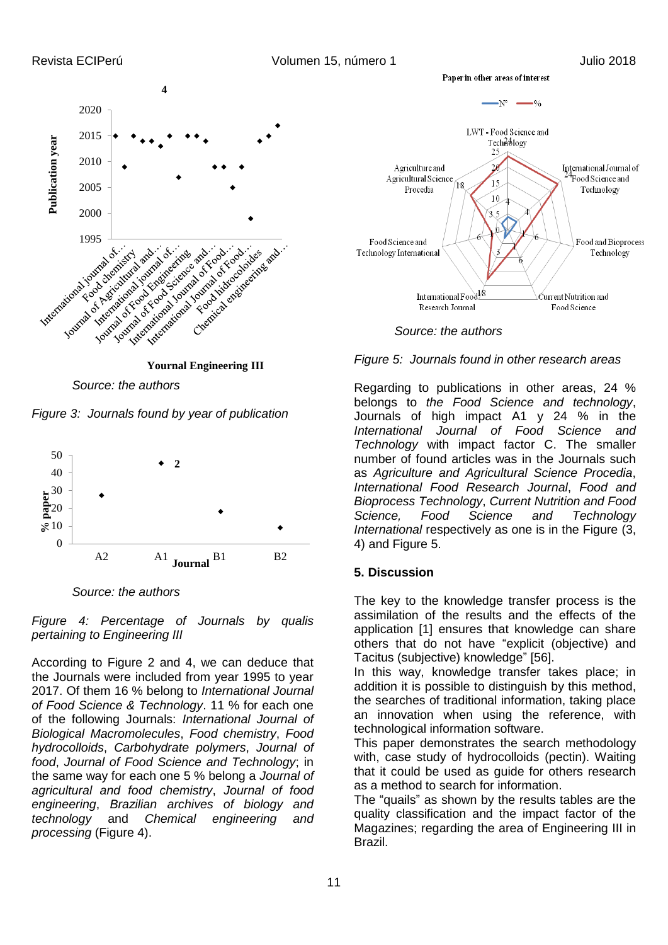

*Source: the authors*

*Figure 3: Journals found by year of publication*



*Source: the authors*

*Figure 4: Percentage of Journals by qualis pertaining to Engineering III*

According to Figure 2 and 4, we can deduce that the Journals were included from year 1995 to year 2017. Of them 16 % belong to *International Journal of Food Science & Technology*. 11 % for each one of the following Journals: *International Journal of Biological Macromolecules*, *Food chemistry*, *Food hydrocolloids*, *Carbohydrate polymers*, *Journal of food*, *Journal of Food Science and Technology*; in the same way for each one 5 % belong a *Journal of agricultural and food chemistry*, *Journal of food engineering*, *Brazilian archives of biology and technology* and *Chemical engineering and processing* (Figure 4).





*Figure 5: Journals found in other research areas*

Regarding to publications in other areas, 24 % belongs to *the Food Science and technology*, Journals of high impact A1 y 24 % in the *International Journal of Food Science and Technology* with impact factor C. The smaller number of found articles was in the Journals such as *Agriculture and Agricultural Science Procedia*, *International Food Research Journal*, *Food and Bioprocess Technology*, *Current Nutrition and Food Science, Food Science and Technology International* respectively as one is in the Figure (3, 4) and Figure 5.

## **5. Discussion**

The key to the knowledge transfer process is the assimilation of the results and the effects of the application [1] ensures that knowledge can share others that do not have "explicit (objective) and Tacitus (subjective) knowledge" [\[56\]](#page-13-16).

In this way, knowledge transfer takes place; in addition it is possible to distinguish by this method, the searches of traditional information, taking place an innovation when using the reference, with technological information software.

This paper demonstrates the search methodology with, case study of hydrocolloids (pectin). Waiting that it could be used as guide for others research as a method to search for information.

The "quails" as shown by the results tables are the quality classification and the impact factor of the Magazines; regarding the area of Engineering III in Brazil.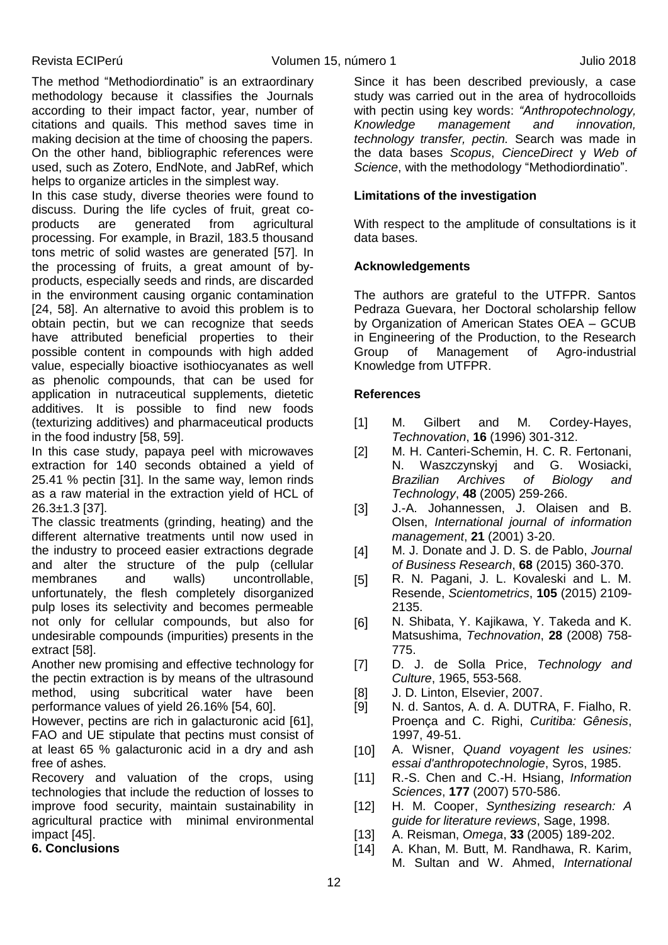The method ["Methodiordinatio"](http://reginapagani2011.wixsite.com/methodiordinatio) is an extraordinary methodology because it classifies the Journals according to their impact factor, year, number of citations and quails. This method saves time in making decision at the time of choosing the papers. On the other hand, bibliographic references were used, such as Zotero, EndNote, and JabRef, which helps to organize articles in the simplest way.

In this case study, diverse theories were found to discuss. During the life cycles of fruit, great coproducts are generated from agricultural processing. For example, in Brazil, 183.5 thousand tons metric of solid wastes are generated [\[57\]](#page-13-17). In the processing of fruits, a great amount of byproducts, especially seeds and rinds, are discarded in the environment causing organic contamination [24, [58\]](#page-13-18). An alternative to avoid this problem is to obtain pectin, but we can recognize that seeds have attributed beneficial properties to their possible content in compounds with high added value, especially bioactive isothiocyanates as well as phenolic compounds, that can be used for application in nutraceutical supplements, dietetic additives. It is possible to find new foods (texturizing additives) and pharmaceutical products in the food industry [\[58,](#page-13-18) [59\]](#page-13-19).

In this case study, papaya peel with microwaves extraction for 140 seconds obtained a yield of 25.41 % pectin [\[31\]](#page-12-14). In the same way, lemon rinds as a raw material in the extraction yield of HCL of 26.3±1.3 [\[37\]](#page-12-15).

The classic treatments (grinding, heating) and the different alternative treatments until now used in the industry to proceed easier extractions degrade and alter the structure of the pulp (cellular membranes and walls) uncontrollable, unfortunately, the flesh completely disorganized pulp loses its selectivity and becomes permeable not only for cellular compounds, but also for undesirable compounds (impurities) presents in the extract [\[58\]](#page-13-18).

Another new promising and effective technology for the pectin extraction is by means of the ultrasound method, using subcritical water have been performance values of yield 26.16% [\[54,](#page-13-20) [60\]](#page-13-21).

However, pectins are rich in galacturonic acid [\[61\]](#page-13-22), FAO and UE stipulate that pectins must consist of at least 65 % galacturonic acid in a dry and ash free of ashes.

Recovery and valuation of the crops, using technologies that include the reduction of losses to improve food security, maintain sustainability in agricultural practice with minimal environmental impact [\[45\]](#page-13-23).

## **6. Conclusions**

Since it has been described previously, a case study was carried out in the area of hydrocolloids with pectin using key words: *"Anthropotechnology, Knowledge management and innovation, technology transfer, pectin.* Search was made in the data bases *Scopus*, *CienceDirect* y *Web of Science*, with the methodology ["Methodiordinatio"](http://reginapagani2011.wixsite.com/methodiordinatio).

## **Limitations of the investigation**

With respect to the amplitude of consultations is it data bases.

## **Acknowledgements**

The authors are grateful to the UTFPR. Santos Pedraza Guevara, her Doctoral scholarship fellow by Organization of American States OEA – GCUB in Engineering of the Production, to the Research Group of Management of Agro-industrial Knowledge from UTFPR.

## **References**

- [1] M. Gilbert and M. Cordey-Hayes, *Technovation*, **16** (1996) 301-312.
- [2] M. H. Canteri-Schemin, H. C. R. Fertonani, N. Waszczynskyj and G. Wosiacki, *Brazilian Archives of Biology and Technology*, **48** (2005) 259-266.
- [3] J.-A. Johannessen, J. Olaisen and B. Olsen, *International journal of information management*, **21** (2001) 3-20.
- [4] M. J. Donate and J. D. S. de Pablo, *Journal of Business Research*, **68** (2015) 360-370.
- [5] R. N. Pagani, J. L. Kovaleski and L. M. Resende, *Scientometrics*, **105** (2015) 2109- 2135.
- [6] N. Shibata, Y. Kajikawa, Y. Takeda and K. Matsushima, *Technovation*, **28** (2008) 758- 775.
- [7] D. J. de Solla Price, *Technology and Culture*, 1965, 553-568.
- [8] J. D. Linton, Elsevier, 2007.
- [9] N. d. Santos, A. d. A. DUTRA, F. Fialho, R. Proença and C. Righi, *Curitiba: Gênesis*, 1997, 49-51.
- [10] A. Wisner, *Quand voyagent les usines: essai d'anthropotechnologie*, Syros, 1985.
- [11] R.-S. Chen and C.-H. Hsiang, *Information Sciences*, **177** (2007) 570-586.
- [12] H. M. Cooper, *Synthesizing research: A guide for literature reviews*, Sage, 1998.
- [13] A. Reisman, *Omega*, **33** (2005) 189-202.
- [14] A. Khan, M. Butt, M. Randhawa, R. Karim, M. Sultan and W. Ahmed, *International*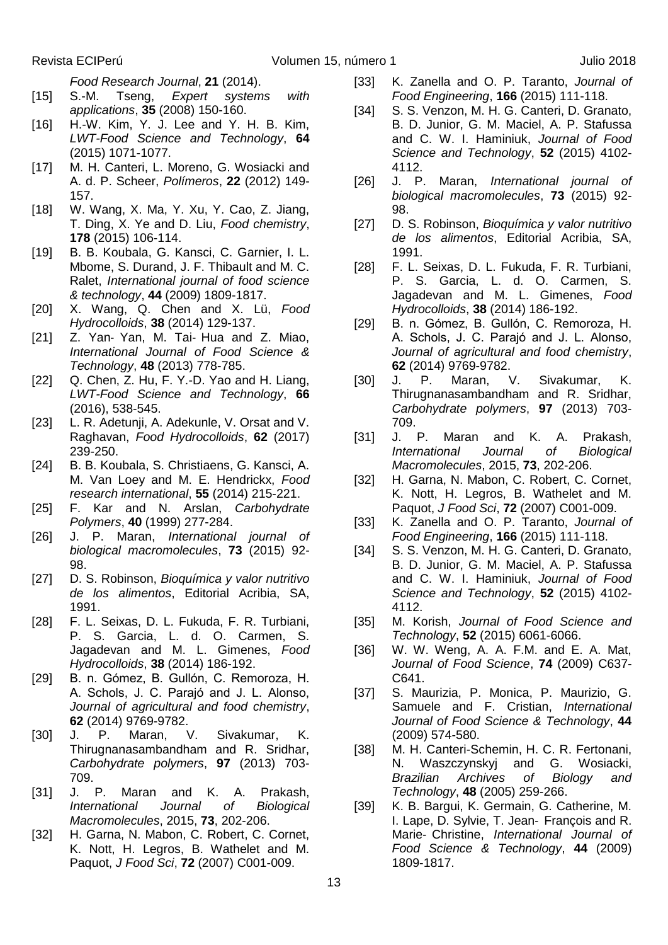*Food Research Journal*, **21** (2014).

- [15] S.-M. Tseng, *Expert systems with applications*, **35** (2008) 150-160.
- [16] H.-W. Kim, Y. J. Lee and Y. H. B. Kim, *LWT-Food Science and Technology*, **64** (2015) 1071-1077.
- [17] M. H. Canteri, L. Moreno, G. Wosiacki and A. d. P. Scheer, *Polímeros*, **22** (2012) 149- 157.
- [18] W. Wang, X. Ma, Y. Xu, Y. Cao, Z. Jiang, T. Ding, X. Ye and D. Liu, *Food chemistry*, **178** (2015) 106-114.
- <span id="page-12-0"></span>[19] B. B. Koubala, G. Kansci, C. Garnier, I. L. Mbome, S. Durand, J. F. Thibault and M. C. Ralet, *International journal of food science & technology*, **44** (2009) 1809-1817.
- <span id="page-12-1"></span>[20] X. Wang, Q. Chen and X. Lü, *Food Hydrocolloids*, **38** (2014) 129-137.
- <span id="page-12-2"></span>[21] Z. Yan- Yan, M. Tai- Hua and Z. Miao, *International Journal of Food Science & Technology*, **48** (2013) 778-785.
- [22] Q. Chen, Z. Hu, F. Y.-D. Yao and H. Liang, *LWT-Food Science and Technology*, **66** (2016), 538-545.
- <span id="page-12-3"></span>[23] L. R. Adetunji, A. Adekunle, V. Orsat and V. Raghavan, *Food Hydrocolloids*, **62** (2017) 239-250.
- <span id="page-12-4"></span>[24] B. B. Koubala, S. Christiaens, G. Kansci, A. M. Van Loey and M. E. Hendrickx, *Food research international*, **55** (2014) 215-221.
- <span id="page-12-5"></span>[25] F. Kar and N. Arslan, *Carbohydrate Polymers*, **40** (1999) 277-284.
- <span id="page-12-6"></span>[26] J. P. Maran, *International journal of biological macromolecules*, **73** (2015) 92- 98.
- [27] D. S. Robinson, *Bioquímica y valor nutritivo de los alimentos*, Editorial Acribia, SA, 1991.
- [28] F. L. Seixas, D. L. Fukuda, F. R. Turbiani, P. S. Garcia, L. d. O. Carmen, S. Jagadevan and M. L. Gimenes, *Food Hydrocolloids*, **38** (2014) 186-192.
- [29] B. n. Gómez, B. Gullón, C. Remoroza, H. A. Schols, J. C. Parajó and J. L. Alonso, *Journal of agricultural and food chemistry*, **62** (2014) 9769-9782.
- [30] J. P. Maran, V. Sivakumar, K. Thirugnanasambandham and R. Sridhar, *Carbohydrate polymers*, **97** (2013) 703- 709.
- <span id="page-12-14"></span>[31] J. P. Maran and K. A. Prakash, *International Journal of Biological Macromolecules*, 2015, **73**, 202-206.
- [32] H. Garna, N. Mabon, C. Robert, C. Cornet, K. Nott, H. Legros, B. Wathelet and M. Paquot, *J Food Sci*, **72** (2007) C001-009.
- <span id="page-12-8"></span><span id="page-12-7"></span>[33] K. Zanella and O. P. Taranto, *Journal of Food Engineering*, **166** (2015) 111-118.
- [34] S. S. Venzon, M. H. G. Canteri, D. Granato, B. D. Junior, G. M. Maciel, A. P. Stafussa and C. W. I. Haminiuk, *Journal of Food Science and Technology*, **52** (2015) 4102- 4112.
- [26] J. P. Maran, *International journal of biological macromolecules*, **73** (2015) 92- 98.
- [27] D. S. Robinson, *Bioquímica y valor nutritivo de los alimentos*, Editorial Acribia, SA, 1991.
- [28] F. L. Seixas, D. L. Fukuda, F. R. Turbiani, P. S. Garcia, L. d. O. Carmen, S. Jagadevan and M. L. Gimenes, *Food Hydrocolloids*, **38** (2014) 186-192.
- <span id="page-12-9"></span>[29] B. n. Gómez, B. Gullón, C. Remoroza, H. A. Schols, J. C. Parajó and J. L. Alonso, *Journal of agricultural and food chemistry*, **62** (2014) 9769-9782.
- <span id="page-12-10"></span>[30] J. P. Maran, V. Sivakumar, K. Thirugnanasambandham and R. Sridhar, *Carbohydrate polymers*, **97** (2013) 703- 709.
- <span id="page-12-11"></span>[31] J. P. Maran and K. A. Prakash, *International Journal of Biological Macromolecules*, 2015, **73**, 202-206.
- <span id="page-12-12"></span>[32] H. Garna, N. Mabon, C. Robert, C. Cornet, K. Nott, H. Legros, B. Wathelet and M. Paquot, *J Food Sci*, **72** (2007) C001-009.
- <span id="page-12-13"></span>[33] K. Zanella and O. P. Taranto, *Journal of Food Engineering*, **166** (2015) 111-118.
- [34] S. S. Venzon, M. H. G. Canteri, D. Granato, B. D. Junior, G. M. Maciel, A. P. Stafussa and C. W. I. Haminiuk, *Journal of Food Science and Technology*, **52** (2015) 4102- 4112.
- [35] M. Korish, *Journal of Food Science and Technology*, **52** (2015) 6061-6066.
- [36] W. W. Weng, A. A. F.M. and E. A. Mat, *Journal of Food Science*, **74** (2009) C637- C641.
- <span id="page-12-15"></span>[37] S. Maurizia, P. Monica, P. Maurizio, G. Samuele and F. Cristian, *International Journal of Food Science & Technology*, **44** (2009) 574-580.
- [38] M. H. Canteri-Schemin, H. C. R. Fertonani, N. Waszczynskyj and G. Wosiacki, *Brazilian Archives of Biology and Technology*, **48** (2005) 259-266.
- [39] K. B. Bargui, K. Germain, G. Catherine, M. I. Lape, D. Sylvie, T. Jean‐ François and R. Marie‐ Christine, *International Journal of Food Science & Technology*, **44** (2009) 1809-1817.